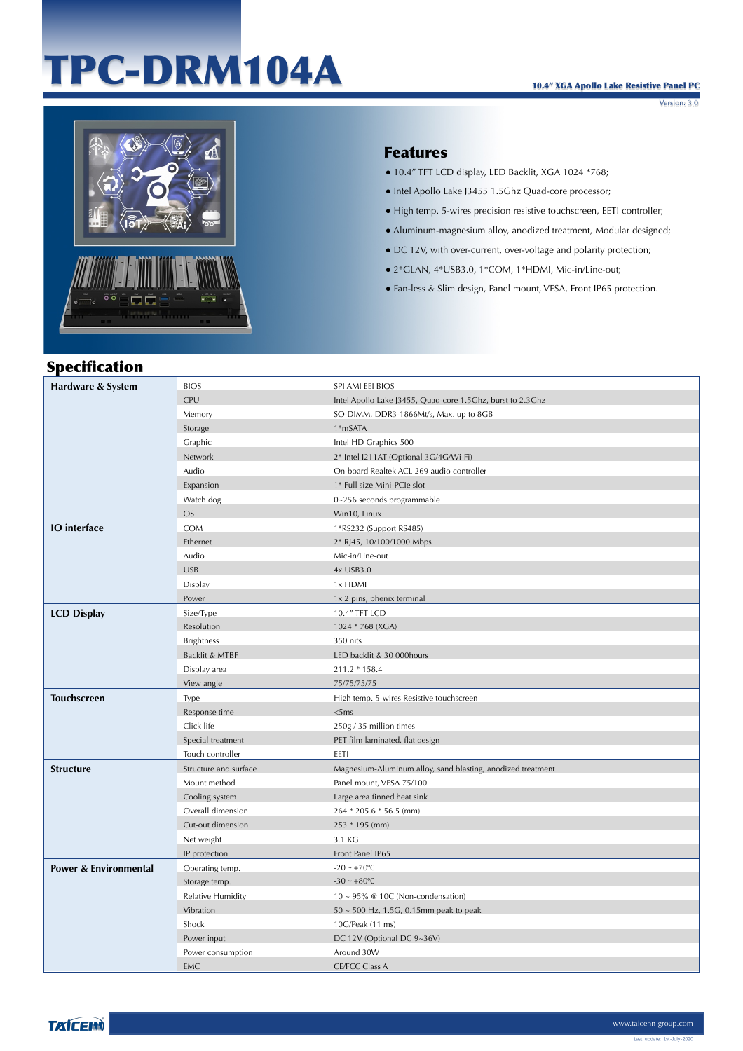# TPC-DRM104A

Version: 3.0



#### Features

- 10.4" TFT LCD display, LED Backlit, XGA 1024 \*768;
- Intel Apollo Lake J3455 1.5Ghz Quad-core processor;
- High temp. 5-wires precision resistive touchscreen, EETI controller;
- Aluminum-magnesium alloy, anodized treatment, Modular designed;
- DC 12V, with over-current, over-voltage and polarity protection;
- 2\*GLAN, 4\*USB3.0, 1\*COM, 1\*HDMI, Mic-in/Line-out;
- Fan-less & Slim design, Panel mount, VESA, Front IP65 protection.

## Specification

| Hardware & System                | <b>BIOS</b>              | SPI AMI EEI BIOS                                            |
|----------------------------------|--------------------------|-------------------------------------------------------------|
|                                  | <b>CPU</b>               | Intel Apollo Lake J3455, Quad-core 1.5Ghz, burst to 2.3Ghz  |
|                                  | Memory                   | SO-DIMM, DDR3-1866Mt/s, Max. up to 8GB                      |
|                                  | Storage                  | $1*$ mSATA                                                  |
|                                  | Graphic                  | Intel HD Graphics 500                                       |
|                                  | Network                  | 2* Intel I211AT (Optional 3G/4G/Wi-Fi)                      |
|                                  | Audio                    | On-board Realtek ACL 269 audio controller                   |
|                                  | Expansion                | 1* Full size Mini-PCIe slot                                 |
|                                  | Watch dog                | $0 - 256$ seconds programmable                              |
|                                  | <b>OS</b>                | Win10, Linux                                                |
| <b>IO</b> interface              | COM                      | 1*RS232 (Support RS485)                                     |
|                                  | Ethernet                 | 2* RJ45, 10/100/1000 Mbps                                   |
|                                  | Audio                    | Mic-in/Line-out                                             |
|                                  | <b>USB</b>               | 4x USB3.0                                                   |
|                                  | Display                  | 1x HDMI                                                     |
|                                  | Power                    | 1x 2 pins, phenix terminal                                  |
| <b>LCD Display</b>               | Size/Type                | 10.4" TFT LCD                                               |
|                                  | Resolution               | 1024 * 768 (XGA)                                            |
|                                  | <b>Brightness</b>        | 350 nits                                                    |
|                                  | Backlit & MTBF           | LED backlit & 30 000hours                                   |
|                                  | Display area             | 211.2 * 158.4                                               |
|                                  | View angle               | 75/75/75/75                                                 |
| <b>Touchscreen</b>               | Type                     | High temp. 5-wires Resistive touchscreen                    |
|                                  | Response time            | <5ms                                                        |
|                                  | Click life               | 250g / 35 million times                                     |
|                                  | Special treatment        | PET film laminated, flat design                             |
|                                  | Touch controller         | EETI                                                        |
| <b>Structure</b>                 | Structure and surface    | Magnesium-Aluminum alloy, sand blasting, anodized treatment |
|                                  |                          |                                                             |
|                                  | Mount method             | Panel mount, VESA 75/100                                    |
|                                  | Cooling system           | Large area finned heat sink                                 |
|                                  | Overall dimension        | 264 * 205.6 * 56.5 (mm)                                     |
|                                  | Cut-out dimension        | $253 * 195$ (mm)                                            |
|                                  | Net weight               | 3.1 KG                                                      |
|                                  | IP protection            | Front Panel IP65                                            |
| <b>Power &amp; Environmental</b> | Operating temp.          | $-20 \sim +70$ °C                                           |
|                                  | Storage temp.            | $-30 \sim +80$ °C                                           |
|                                  | <b>Relative Humidity</b> | $10 \sim 95\%$ @ 10C (Non-condensation)                     |
|                                  | Vibration                | $50 \sim 500$ Hz, 1.5G, 0.15mm peak to peak                 |
|                                  | Shock                    | 10G/Peak (11 ms)                                            |
|                                  | Power input              | DC 12V (Optional DC 9~36V)                                  |
|                                  | Power consumption        | Around 30W                                                  |